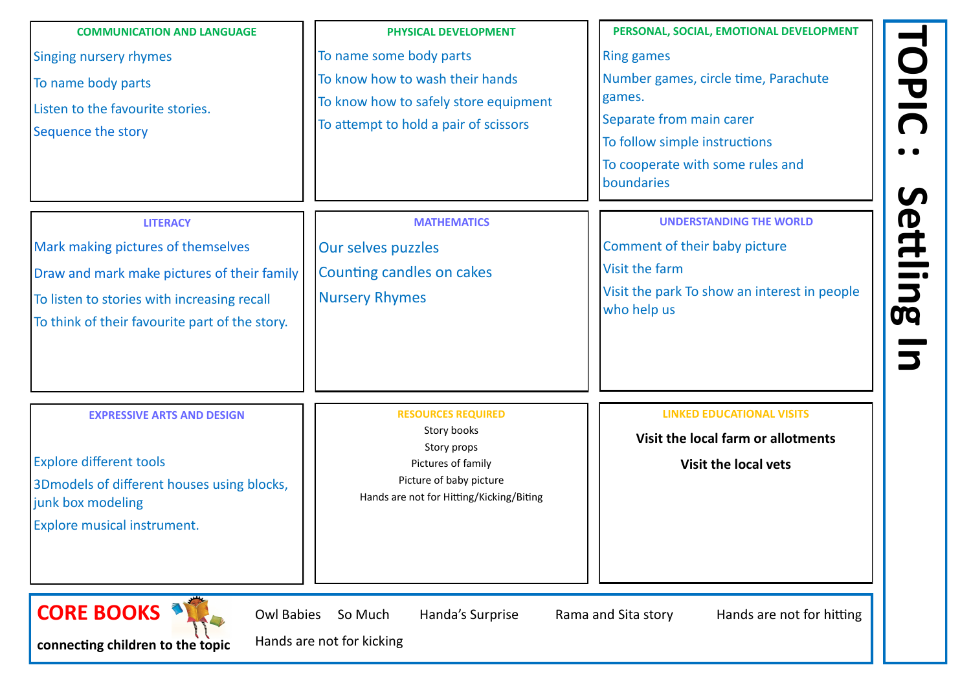**TOPIC :** Settling In **Settling In** 

**connecting children to the topic**

| PHYSICAL DEVELOPMENT                                                | PERSONAL, SOCIAL, EMC               |
|---------------------------------------------------------------------|-------------------------------------|
| To name some body parts                                             | <b>Ring games</b>                   |
| To know how to wash their hands                                     | Number games, circle t              |
| To know how to safely store equipment                               | games.                              |
| To attempt to hold a pair of scissors                               | Separate from main ca               |
|                                                                     | To follow simple instru             |
|                                                                     | To cooperate with som<br>boundaries |
| <b>MATHEMATICS</b>                                                  | <b>UNDERSTANDIN</b>                 |
| Our selves puzzles                                                  | Comment of their baby               |
| Counting candles on cakes                                           | Visit the farm                      |
| <b>Nursery Rhymes</b>                                               | Visit the park To show              |
|                                                                     | who help us                         |
| <b>RESOURCES REQUIRED</b>                                           | <b>LINKED EDUCA</b>                 |
| Story books                                                         | <b>Visit the local far</b>          |
| Pictures of family                                                  | <b>Visit the I</b>                  |
| Picture of baby picture<br>Hands are not for Hitting/Kicking/Biting |                                     |
|                                                                     |                                     |
|                                                                     | Story props                         |

Hands are not for kicking

## **PERSONAL DEVELOPMENT** time, Parachute **arer** ictions ne rules and

**NG THE WORLD** 

y picture

an interest in people

**LINGTHER EDUCATION ALL VISITS** 

**Piance 1 and 1 Figure 1 St 1 Figure 1 St 1 Figure 1 St 1 Figure 1 St 1 Figure 1 St 1 Figure 1 St 1 Figure 1 St 1 Figure 1 St 1 Figure 1 St 1 Figure 1 St 1 Figure 1 St 1 Figure 1 St 1 Figure 1 St 1 Figure 1 St 1 Figure 1 S** 

**local vets** 

nds are not for hitting